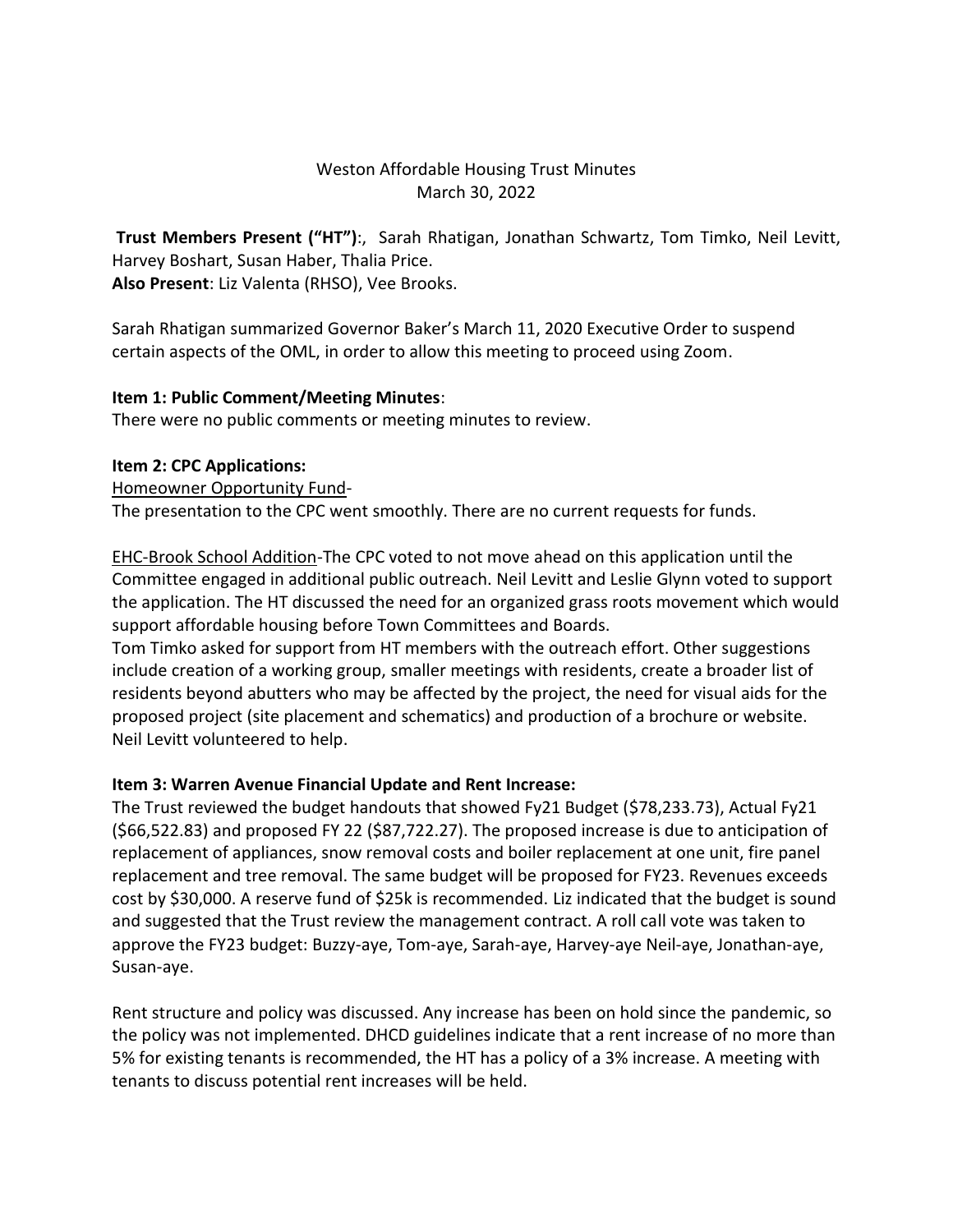# Weston Affordable Housing Trust Minutes March 30, 2022

**Trust Members Present ("HT")**:, Sarah Rhatigan, Jonathan Schwartz, Tom Timko, Neil Levitt, Harvey Boshart, Susan Haber, Thalia Price. **Also Present**: Liz Valenta (RHSO), Vee Brooks.

Sarah Rhatigan summarized Governor Baker's March 11, 2020 Executive Order to suspend certain aspects of the OML, in order to allow this meeting to proceed using Zoom.

## **Item 1: Public Comment/Meeting Minutes**:

There were no public comments or meeting minutes to review.

## **Item 2: CPC Applications:**

#### Homeowner Opportunity Fund-

The presentation to the CPC went smoothly. There are no current requests for funds.

EHC-Brook School Addition-The CPC voted to not move ahead on this application until the Committee engaged in additional public outreach. Neil Levitt and Leslie Glynn voted to support the application. The HT discussed the need for an organized grass roots movement which would support affordable housing before Town Committees and Boards.

Tom Timko asked for support from HT members with the outreach effort. Other suggestions include creation of a working group, smaller meetings with residents, create a broader list of residents beyond abutters who may be affected by the project, the need for visual aids for the proposed project (site placement and schematics) and production of a brochure or website. Neil Levitt volunteered to help.

# **Item 3: Warren Avenue Financial Update and Rent Increase:**

The Trust reviewed the budget handouts that showed Fy21 Budget (\$78,233.73), Actual Fy21 (\$66,522.83) and proposed FY 22 (\$87,722.27). The proposed increase is due to anticipation of replacement of appliances, snow removal costs and boiler replacement at one unit, fire panel replacement and tree removal. The same budget will be proposed for FY23. Revenues exceeds cost by \$30,000. A reserve fund of \$25k is recommended. Liz indicated that the budget is sound and suggested that the Trust review the management contract. A roll call vote was taken to approve the FY23 budget: Buzzy-aye, Tom-aye, Sarah-aye, Harvey-aye Neil-aye, Jonathan-aye, Susan-aye.

Rent structure and policy was discussed. Any increase has been on hold since the pandemic, so the policy was not implemented. DHCD guidelines indicate that a rent increase of no more than 5% for existing tenants is recommended, the HT has a policy of a 3% increase. A meeting with tenants to discuss potential rent increases will be held.